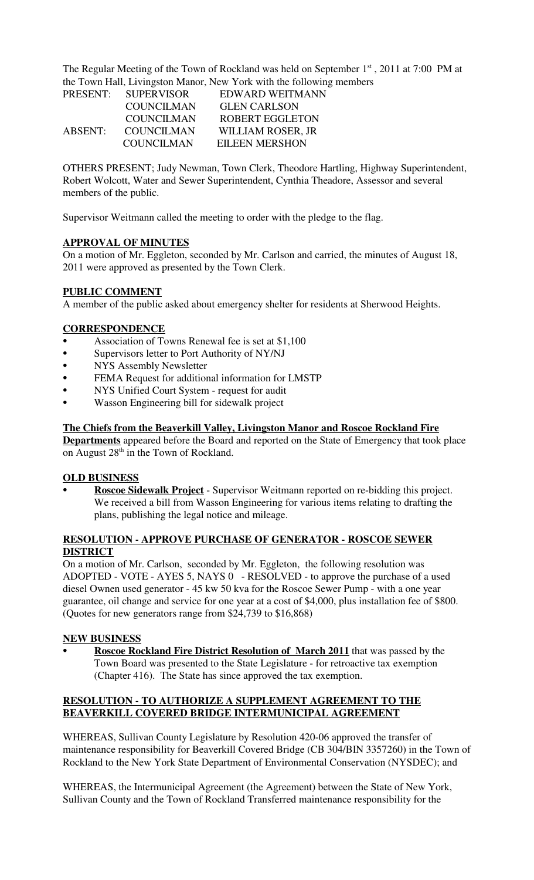The Regular Meeting of the Town of Rockland was held on September  $1<sup>st</sup>$ , 2011 at 7:00 PM at the Town Hall, Livingston Manor, New York with the following members

| <b>PRESENT:</b> | <b>SUPERVISOR</b> | EDWARD WEITMANN       |
|-----------------|-------------------|-----------------------|
|                 | <b>COUNCILMAN</b> | <b>GLEN CARLSON</b>   |
|                 | <b>COUNCILMAN</b> | ROBERT EGGLETON       |
| <b>ABSENT:</b>  | <b>COUNCILMAN</b> | WILLIAM ROSER, JR     |
|                 | <b>COUNCILMAN</b> | <b>EILEEN MERSHON</b> |

OTHERS PRESENT; Judy Newman, Town Clerk, Theodore Hartling, Highway Superintendent, Robert Wolcott, Water and Sewer Superintendent, Cynthia Theadore, Assessor and several members of the public.

Supervisor Weitmann called the meeting to order with the pledge to the flag.

## **APPROVAL OF MINUTES**

On a motion of Mr. Eggleton, seconded by Mr. Carlson and carried, the minutes of August 18, 2011 were approved as presented by the Town Clerk.

## **PUBLIC COMMENT**

A member of the public asked about emergency shelter for residents at Sherwood Heights.

#### **CORRESPONDENCE**

- Association of Towns Renewal fee is set at \$1,100
- Supervisors letter to Port Authority of NY/NJ
- NYS Assembly Newsletter
- FEMA Request for additional information for LMSTP
- NYS Unified Court System request for audit
- Wasson Engineering bill for sidewalk project

## **The Chiefs from the Beaverkill Valley, Livingston Manor and Roscoe Rockland Fire**

**Departments** appeared before the Board and reported on the State of Emergency that took place on August 28<sup>th</sup> in the Town of Rockland.

#### **OLD BUSINESS**

Roscoe Sidewalk Project - Supervisor Weitmann reported on re-bidding this project. We received a bill from Wasson Engineering for various items relating to drafting the plans, publishing the legal notice and mileage.

## **RESOLUTION - APPROVE PURCHASE OF GENERATOR - ROSCOE SEWER DISTRICT**

On a motion of Mr. Carlson, seconded by Mr. Eggleton, the following resolution was ADOPTED - VOTE - AYES 5, NAYS 0 - RESOLVED - to approve the purchase of a used diesel Ownen used generator - 45 kw 50 kva for the Roscoe Sewer Pump - with a one year guarantee, oil change and service for one year at a cost of \$4,000, plus installation fee of \$800. (Quotes for new generators range from \$24,739 to \$16,868)

#### **NEW BUSINESS**

**Roscoe Rockland Fire District Resolution of March 2011** that was passed by the Town Board was presented to the State Legislature - for retroactive tax exemption (Chapter 416). The State has since approved the tax exemption.

## **RESOLUTION - TO AUTHORIZE A SUPPLEMENT AGREEMENT TO THE BEAVERKILL COVERED BRIDGE INTERMUNICIPAL AGREEMENT**

WHEREAS, Sullivan County Legislature by Resolution 420-06 approved the transfer of maintenance responsibility for Beaverkill Covered Bridge (CB 304/BIN 3357260) in the Town of Rockland to the New York State Department of Environmental Conservation (NYSDEC); and

WHEREAS, the Intermunicipal Agreement (the Agreement) between the State of New York, Sullivan County and the Town of Rockland Transferred maintenance responsibility for the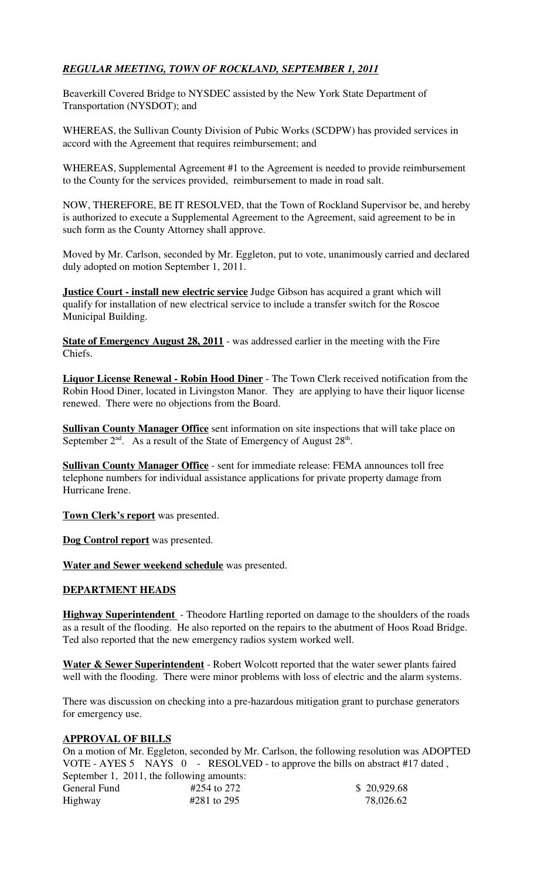# *REGULAR MEETING, TOWN OF ROCKLAND, SEPTEMBER 1, 2011*

Beaverkill Covered Bridge to NYSDEC assisted by the New York State Department of Transportation (NYSDOT); and

WHEREAS, the Sullivan County Division of Pubic Works (SCDPW) has provided services in accord with the Agreement that requires reimbursement; and

WHEREAS, Supplemental Agreement #1 to the Agreement is needed to provide reimbursement to the County for the services provided, reimbursement to made in road salt.

NOW, THEREFORE, BE IT RESOLVED, that the Town of Rockland Supervisor be, and hereby is authorized to execute a Supplemental Agreement to the Agreement, said agreement to be in such form as the County Attorney shall approve.

Moved by Mr. Carlson, seconded by Mr. Eggleton, put to vote, unanimously carried and declared duly adopted on motion September 1, 2011.

**Justice Court - install new electric service** Judge Gibson has acquired a grant which will qualify for installation of new electrical service to include a transfer switch for the Roscoe Municipal Building.

**State of Emergency August 28, 2011** - was addressed earlier in the meeting with the Fire Chiefs.

**Liquor License Renewal - Robin Hood Diner** - The Town Clerk received notification from the Robin Hood Diner, located in Livingston Manor. They are applying to have their liquor license renewed. There were no objections from the Board.

**Sullivan County Manager Office** sent information on site inspections that will take place on September  $2<sup>nd</sup>$ . As a result of the State of Emergency of August  $28<sup>th</sup>$ .

**Sullivan County Manager Office** - sent for immediate release: FEMA announces toll free telephone numbers for individual assistance applications for private property damage from Hurricane Irene.

**Town Clerk's report** was presented.

**Dog Control report** was presented.

**Water and Sewer weekend schedule** was presented.

## **DEPARTMENT HEADS**

**Highway Superintendent** - Theodore Hartling reported on damage to the shoulders of the roads as a result of the flooding. He also reported on the repairs to the abutment of Hoos Road Bridge. Ted also reported that the new emergency radios system worked well.

**Water & Sewer Superintendent** - Robert Wolcott reported that the water sewer plants faired well with the flooding. There were minor problems with loss of electric and the alarm systems.

There was discussion on checking into a pre-hazardous mitigation grant to purchase generators for emergency use.

#### **APPROVAL OF BILLS**

On a motion of Mr. Eggleton, seconded by Mr. Carlson, the following resolution was ADOPTED VOTE - AYES 5 NAYS 0 - RESOLVED - to approve the bills on abstract #17 dated, September 1, 2011, the following amounts:

| General Fund | #254 to 272 | \$20,929.68 |
|--------------|-------------|-------------|
| Highway      | #281 to 295 | 78,026.62   |